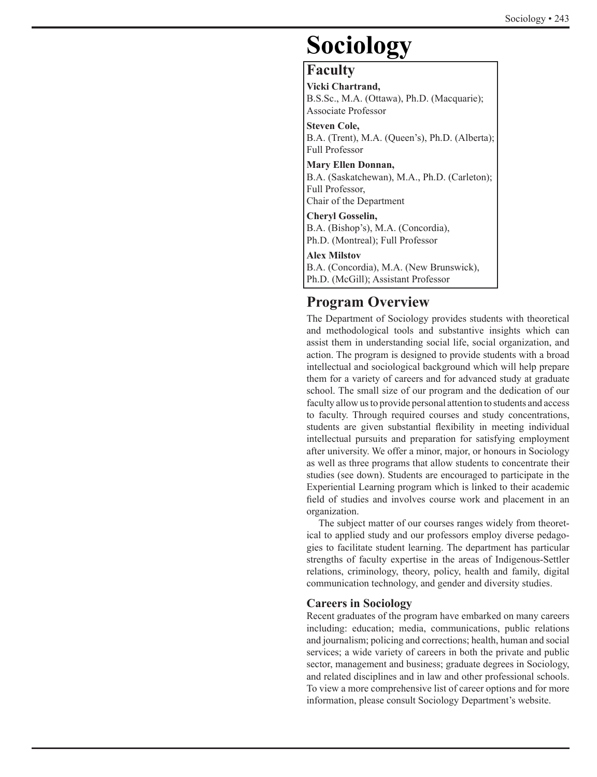# **Sociology**

# **Faculty**

**Vicki Chartrand,** B.S.Sc., M.A. (Ottawa), Ph.D. (Macquarie); Associate Professor

**Steven Cole,** B.A. (Trent), M.A. (Queen's), Ph.D. (Alberta); Full Professor

**Mary Ellen Donnan,** B.A. (Saskatchewan), M.A., Ph.D. (Carleton); Full Professor, Chair of the Department

**Cheryl Gosselin,**  B.A. (Bishop's), M.A. (Concordia), Ph.D. (Montreal); Full Professor

**Alex Milstov**

B.A. (Concordia), M.A. (New Brunswick), Ph.D. (McGill); Assistant Professor

# **Program Overview**

The Department of Sociology provides students with theoretical and methodological tools and substantive insights which can assist them in understanding social life, social organization, and action. The program is designed to provide students with a broad intellectual and sociological background which will help prepare them for a variety of careers and for advanced study at graduate school. The small size of our program and the dedication of our faculty allow us to provide personal attention to students and access to faculty. Through required courses and study concentrations, students are given substantial flexibility in meeting individual intellectual pursuits and preparation for satisfying employment after university. We offer a minor, major, or honours in Sociology as well as three programs that allow students to concentrate their studies (see down). Students are encouraged to participate in the Experiential Learning program which is linked to their academic field of studies and involves course work and placement in an organization.

The subject matter of our courses ranges widely from theoretical to applied study and our professors employ diverse pedagogies to facilitate student learning. The department has particular strengths of faculty expertise in the areas of Indigenous-Settler relations, criminology, theory, policy, health and family, digital communication technology, and gender and diversity studies.

# **Careers in Sociology**

Recent graduates of the program have embarked on many careers including: education; media, communications, public relations and journalism; policing and corrections; health, human and social services; a wide variety of careers in both the private and public sector, management and business; graduate degrees in Sociology, and related disciplines and in law and other professional schools. To view a more comprehensive list of career options and for more information, please consult Sociology Department's website.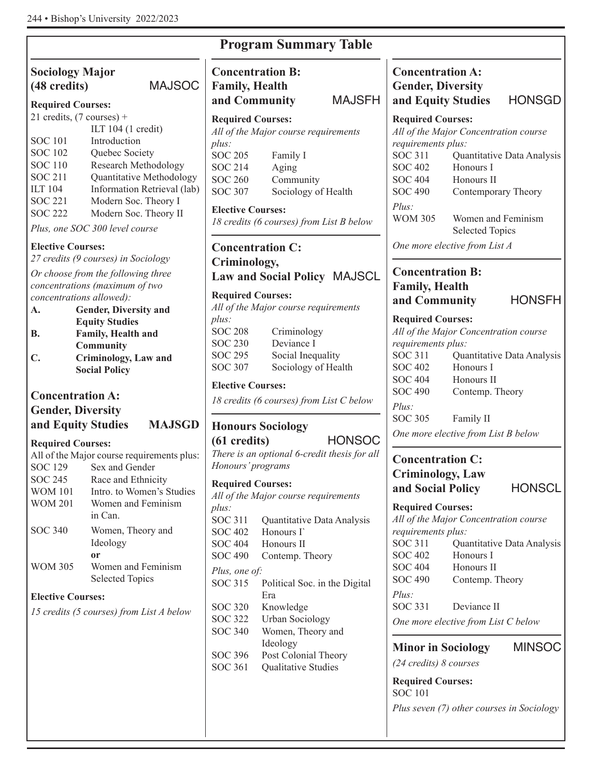# **Sociology Major (48 credits)** MAJSOC

# **Required Courses:**

| 21 credits, $(7 \text{ courses}) +$ |                             |
|-------------------------------------|-----------------------------|
|                                     | ILT 104 (1 credit)          |
| <b>SOC 101</b>                      | Introduction                |
| <b>SOC 102</b>                      | Quebec Society              |
| <b>SOC 110</b>                      | <b>Research Methodology</b> |
| <b>SOC 211</b>                      | Quantitative Methodology    |
| <b>ILT 104</b>                      | Information Retrieval (lab) |
| <b>SOC 221</b>                      | Modern Soc. Theory I        |
| <b>SOC 222</b>                      | Modern Soc. Theory II       |
|                                     |                             |

*Plus, one SOC 300 level course*

# **Elective Courses:**

*27 credits (9 courses) in Sociology*

*Or choose from the following three concentrations (maximum of two concentrations allowed):*

**A. Gender, Diversity and Equity Studies B. Family, Health and Community**

**C. Criminology, Law and Social Policy**

# **Concentration A:**

# **Gender, Diversity and Equity Studies MAJSGD**

# **Required Courses:**

|                | All of the Major course requirements plus: |
|----------------|--------------------------------------------|
| SOC 129        | Sex and Gender                             |
| SOC 245        | Race and Ethnicity                         |
| <b>WOM 101</b> | Intro, to Women's Studies                  |
| <b>WOM 201</b> | Women and Feminism                         |
|                | in Can                                     |
| SOC 340        | Women, Theory and                          |
|                | Ideology                                   |
|                | or                                         |
| <b>WOM 305</b> | Women and Feminism                         |
|                | <b>Selected Topics</b>                     |

# **Elective Courses:**

*15 credits (5 courses) from List A below*

| <b>Family, Health</b><br>and Community                                                                                                   | Concentration D.<br><b>MAJSFH</b>                                                                                                         | UШ<br>Gen<br>and                                                                                |
|------------------------------------------------------------------------------------------------------------------------------------------|-------------------------------------------------------------------------------------------------------------------------------------------|-------------------------------------------------------------------------------------------------|
| <b>Required Courses:</b><br>$plus$ :<br><b>SOC 205</b><br><b>SOC 214</b><br><b>SOC 260</b><br><b>SOC 307</b><br><b>Elective Courses:</b> | All of the Major course requirements<br>Family I<br>Aging<br>Community<br>Sociology of Health<br>18 credits (6 courses) from List B below | Requ<br>All of<br>requi<br><b>SOC</b><br><b>SOC</b><br>SOC<br><b>SOC</b><br>Plus:<br><b>WON</b> |
| Criminology,                                                                                                                             | <b>Concentration C:</b>                                                                                                                   | One i<br>Con                                                                                    |
| <b>Required Courses:</b>                                                                                                                 | Law and Social Policy MAJSCL<br>All of the Major course requirements                                                                      | Fam<br>and                                                                                      |
| $plus$ :<br><b>SOC 208</b><br><b>SOC 230</b><br><b>SOC 295</b><br><b>SOC 307</b>                                                         | Criminology<br>Deviance I<br>Social Inequality<br>Sociology of Health                                                                     | Requ<br>All of<br>requi<br><b>SOC</b><br><b>SOC</b>                                             |
| <b>Elective Courses:</b>                                                                                                                 | 18 credits (6 courses) from List C below                                                                                                  | <b>SOC</b><br><b>SOC</b><br>Plus:                                                               |
| $(61 \text{ credits})$<br>Honours' programs                                                                                              | <b>Honours Sociology</b><br><b>HONSOC</b><br>There is an optional 6-credit thesis for all                                                 | <b>SOC</b><br>One 1<br>Con<br>Crin                                                              |
| <b>Required Courses:</b>                                                                                                                 | All of the Major course requirements                                                                                                      | and                                                                                             |
| $plus$ :<br>SOC 311<br><b>SOC 402</b><br><b>SOC 404</b><br><b>SOC 490</b><br>Plus, one of:                                               | Quantitative Data Analysis<br>Honours I<br>Honours II<br>Contemp. Theory                                                                  | Requ<br>All oj<br>requi<br>SOC<br><b>SOC</b><br>SOC                                             |
| <b>SOC 315</b><br><b>SOC 320</b><br><b>SOC 322</b><br><b>SOC 340</b>                                                                     | Political Soc. in the Digital<br>Era<br>Knowledge<br><b>Urban Sociology</b><br>Women, Theory and                                          | SOC<br>Plus:<br>SOC<br>One 1                                                                    |
| SOC 396<br><b>SOC 361</b>                                                                                                                | Ideology<br>Post Colonial Theory<br>Qualitative Studies                                                                                   | Min<br>(24c                                                                                     |

**Program Summary Table**

**Concentration B:** 

**Concentration A: nder, Diversity and Equity Studies** HONSGD

**Required Courses:** *All of the Major Concentration course rirements plus:*  $\begin{array}{ll}\n\text{C 311} & \text{Quantitative Data Analysis} \\
\text{C 402} & \text{Honours I}\n\end{array}$ Honours I  $\degree$  404 Honours II  $C$  490 Contemporary Theory M 305 Women and Feminism Selected Topics

*more elective from List A* 

# **ncentration B: Family, Health and Community** HONSFH

# **Required Courses:**

*All of the Major Concentration course rirements plus:* 

| SOC 311        | Quantitative Data Analysis |
|----------------|----------------------------|
| <b>SOC 402</b> | Honours I                  |
| <b>SOC 404</b> | Honours II                 |
| <b>SOC 490</b> | Contemp. Theory            |
| Plus:          |                            |
| SOC 305        | Family II                  |

*more elective from List B below* 

# **ncentration C: Criminology, Law and Social Policy** HONSCL

**Required Courses:** *All of the Major Concentration course rivements plus:*<br>C 311 Oua  $\begin{array}{ll}\n\text{C 311} & \text{Quantitative Data Analysis} \\
\text{C 402} & \text{Honours I}\n\end{array}$ Honours I  $\degree$  404 Honours II  $C$  490 Contemp. Theory *Plus:*  $\sim$  331 Deviance II *more elective from List C below* 

**Minor in Sociology** MINSOC

*(24 credits) 8 courses*

**Required Courses:** SOC 101 *Plus seven (7) other courses in Sociology*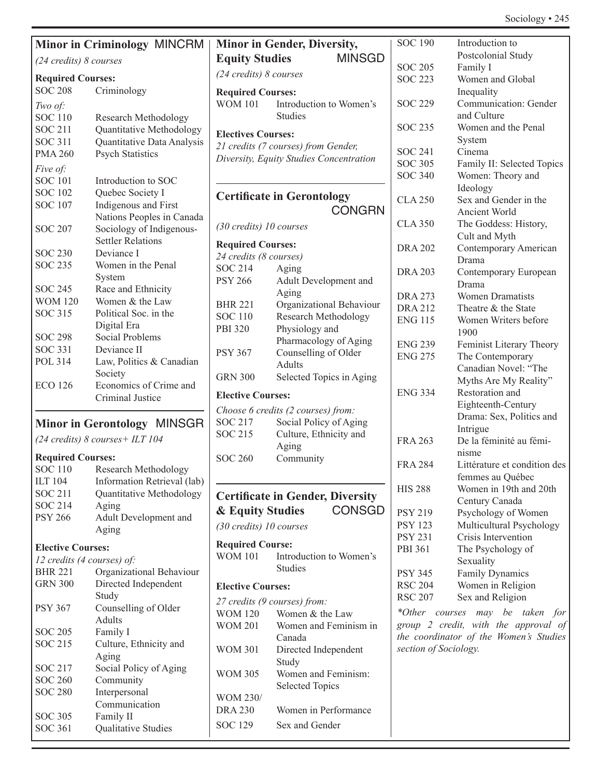# Sociology • 245

|                           |                                            |                                        |                                         | <b>SOC</b>       |
|---------------------------|--------------------------------------------|----------------------------------------|-----------------------------------------|------------------|
|                           | <b>Minor in Criminology MINCRM</b>         |                                        | <b>Minor in Gender, Diversity,</b>      |                  |
| (24 credits) 8 courses    |                                            | <b>MINSGD</b><br><b>Equity Studies</b> |                                         | <b>SOC</b>       |
| <b>Required Courses:</b>  |                                            | $(24 \text{ credits})$ 8 courses       |                                         | <b>SOC</b>       |
| <b>SOC 208</b>            | Criminology                                | <b>Required Courses:</b>               |                                         |                  |
|                           |                                            | <b>WOM 101</b>                         | Introduction to Women's                 | <b>SOC</b>       |
| Two of:<br><b>SOC 110</b> |                                            |                                        | <b>Studies</b>                          |                  |
|                           | Research Methodology                       |                                        |                                         | <b>SOC</b>       |
| <b>SOC 211</b>            | Quantitative Methodology                   | <b>Electives Courses:</b>              |                                         |                  |
| <b>SOC 311</b>            | Quantitative Data Analysis                 |                                        | 21 credits (7 courses) from Gender,     | <b>SOC</b>       |
| <b>PMA 260</b>            | <b>Psych Statistics</b>                    |                                        | Diversity, Equity Studies Concentration | <b>SOC</b>       |
| Five of:                  |                                            |                                        |                                         | <b>SOC</b>       |
| <b>SOC 101</b>            | Introduction to SOC                        |                                        |                                         |                  |
| <b>SOC 102</b>            | Quebec Society I                           |                                        | <b>Certificate in Gerontology</b>       | <b>CLA</b>       |
| <b>SOC 107</b>            | Indigenous and First                       |                                        | <b>CONGRN</b>                           |                  |
|                           | Nations Peoples in Canada                  |                                        |                                         |                  |
| <b>SOC 207</b>            | Sociology of Indigenous-                   | (30 credits) 10 courses                |                                         | <b>CLA</b>       |
|                           | <b>Settler Relations</b>                   | <b>Required Courses:</b>               |                                         |                  |
| <b>SOC 230</b>            | Deviance I                                 | 24 credits (8 courses)                 |                                         | <b>DRA</b>       |
| <b>SOC 235</b>            | Women in the Penal                         | <b>SOC 214</b>                         | Aging                                   |                  |
|                           | System                                     | <b>PSY 266</b>                         | Adult Development and                   | <b>DRA</b>       |
| <b>SOC 245</b>            | Race and Ethnicity                         |                                        | Aging                                   |                  |
| <b>WOM 120</b>            | Women & the Law                            | <b>BHR 221</b>                         | Organizational Behaviour                | <b>DRA</b>       |
| <b>SOC 315</b>            | Political Soc. in the                      | <b>SOC 110</b>                         | Research Methodology                    | <b>DRA</b>       |
|                           | Digital Era                                | PBI 320                                | Physiology and                          | <b>ENG</b>       |
| <b>SOC 298</b>            | <b>Social Problems</b>                     |                                        | Pharmacology of Aging                   |                  |
| <b>SOC 331</b>            | Deviance II                                | <b>PSY 367</b>                         | Counselling of Older                    | <b>ENG</b>       |
| <b>POL 314</b>            | Law, Politics & Canadian                   |                                        | <b>Adults</b>                           | <b>ENG</b>       |
|                           | Society                                    | <b>GRN 300</b>                         |                                         |                  |
| <b>ECO 126</b>            | Economics of Crime and                     |                                        | Selected Topics in Aging                |                  |
|                           | Criminal Justice                           | <b>Elective Courses:</b>               |                                         | <b>ENG</b>       |
|                           |                                            |                                        | Choose 6 credits (2 courses) from:      |                  |
|                           | <b>Minor in Gerontology MINSGR</b>         | SOC 217                                | Social Policy of Aging                  |                  |
|                           |                                            | <b>SOC 215</b>                         | Culture, Ethnicity and                  |                  |
|                           | (24 credits) $8 \text{ courses} + ILT 104$ |                                        | Aging                                   | <b>FRA</b>       |
| <b>Required Courses:</b>  |                                            | <b>SOC 260</b>                         | Community                               |                  |
| <b>SOC 110</b>            | Research Methodology                       |                                        |                                         | <b>FRA</b>       |
|                           | ILT 104 Information Retrieval (lab)        |                                        |                                         |                  |
| <b>SOC 211</b>            | Quantitative Methodology                   |                                        | <b>Certificate in Gender, Diversity</b> | HIS <sub>2</sub> |
| <b>SOC 214</b>            | Aging                                      |                                        |                                         |                  |
| <b>PSY 266</b>            | Adult Development and                      | & Equity Studies                       | <b>CONSGD</b>                           | PSY:             |
|                           | Aging                                      | (30 credits) 10 courses                |                                         | <b>PSY</b>       |
|                           |                                            | <b>Required Course:</b>                |                                         | PSY:             |
| <b>Elective Courses:</b>  |                                            | <b>WOM 101</b>                         | Introduction to Women's                 | PBI <sub>3</sub> |
|                           | 12 credits (4 courses) of:                 |                                        | <b>Studies</b>                          |                  |
| <b>BHR 221</b>            | Organizational Behaviour                   |                                        |                                         | PSY:             |
| <b>GRN 300</b>            | Directed Independent                       | <b>Elective Courses:</b>               |                                         | <b>RSC</b>       |
|                           | Study                                      | 27 credits (9 courses) from:           |                                         | <b>RSC</b>       |
| <b>PSY 367</b>            | Counselling of Older                       | <b>WOM 120</b>                         | Women & the Law                         | $*O$ the         |
|                           | <b>Adults</b>                              | <b>WOM 201</b>                         | Women and Feminism in                   | group            |
| <b>SOC 205</b>            | Family I                                   |                                        | Canada                                  | the c            |
| <b>SOC 215</b>            | Culture, Ethnicity and                     | <b>WOM 301</b>                         | Directed Independent                    | sectio           |
|                           | Aging                                      |                                        | Study                                   |                  |
| <b>SOC 217</b>            | Social Policy of Aging                     | <b>WOM 305</b>                         | Women and Feminism:                     |                  |
| <b>SOC 260</b>            | Community                                  |                                        | <b>Selected Topics</b>                  |                  |
| <b>SOC 280</b>            | Interpersonal                              | WOM 230/                               |                                         |                  |
|                           | Communication                              |                                        |                                         |                  |
| <b>SOC 305</b>            | Family II                                  | <b>DRA 230</b>                         | Women in Performance                    |                  |
| <b>SOC 361</b>            | Qualitative Studies                        | <b>SOC 129</b>                         | Sex and Gender                          |                  |

| <b>SOC 190</b> | Introduction to              |
|----------------|------------------------------|
|                | Postcolonial Study           |
| <b>SOC 205</b> | Family I                     |
| <b>SOC 223</b> | Women and Global             |
|                | Inequality                   |
| <b>SOC 229</b> | Communication: Gender        |
|                | and Culture                  |
| <b>SOC 235</b> | Women and the Penal          |
|                | System                       |
| SOC 241        | Cinema                       |
| <b>SOC 305</b> | Family II: Selected Topics   |
| <b>SOC 340</b> | Women: Theory and            |
|                | Ideology                     |
| CLA 250        | Sex and Gender in the        |
|                | Ancient World                |
| CLA 350        | The Goddess: History,        |
|                | Cult and Myth                |
| DRA 202        | Contemporary American        |
|                | Drama                        |
| DRA 203        | Contemporary European        |
|                | Drama                        |
| DRA 273        | <b>Women Dramatists</b>      |
| DRA 212        | Theatre & the State          |
| <b>ENG 115</b> | Women Writers before         |
|                | 1900                         |
| ENG 239        | Feminist Literary Theory     |
| <b>ENG 275</b> | The Contemporary             |
|                | Canadian Novel: "The         |
|                | Myths Are My Reality"        |
| <b>ENG 334</b> | Restoration and              |
|                | Eighteenth-Century           |
|                | Drama: Sex, Politics and     |
|                | Intrigue                     |
| <b>FRA 263</b> | De la féminité au fémi-      |
|                | nisme                        |
| <b>FRA 284</b> | Littérature et condition des |
|                | femmes au Québec             |
| <b>HIS 288</b> | Women in 19th and 20th       |
|                | Century Canada               |
| <b>PSY 219</b> | Psychology of Women          |
| <b>PSY 123</b> | Multicultural Psychology     |
| <b>PSY 231</b> | Crisis Intervention          |
| PBI 361        | The Psychology of            |
|                | Sexuality                    |
| <b>PSY 345</b> | <b>Family Dynamics</b>       |
| <b>RSC 204</b> | Women in Religion            |
| <b>RSC 207</b> | Sex and Religion             |
|                |                              |

*\*Other courses may be taken for group 2 credit, with the approval of the coordinator of the Women's Studies section of Sociology.*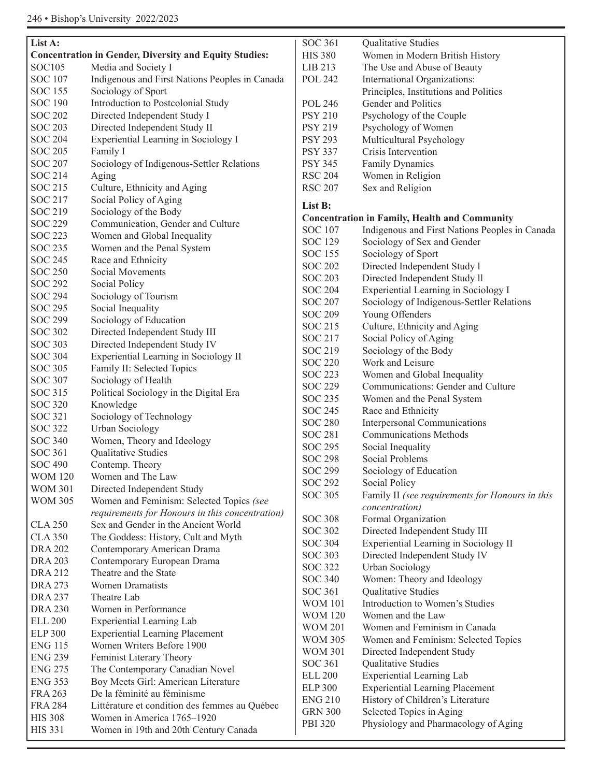| List A:        |                                                               |  |  |
|----------------|---------------------------------------------------------------|--|--|
|                | <b>Concentration in Gender, Diversity and Equity Studies:</b> |  |  |
| <b>SOC105</b>  | Media and Society I                                           |  |  |
| <b>SOC 107</b> | Indigenous and First Nations Peoples in Canada                |  |  |
| <b>SOC 155</b> | Sociology of Sport                                            |  |  |
| <b>SOC 190</b> | Introduction to Postcolonial Study                            |  |  |
| <b>SOC 202</b> | Directed Independent Study I                                  |  |  |
| <b>SOC 203</b> | Directed Independent Study II                                 |  |  |
| <b>SOC 204</b> | Experiential Learning in Sociology I                          |  |  |
| <b>SOC 205</b> | Family I                                                      |  |  |
| <b>SOC 207</b> | Sociology of Indigenous-Settler Relations                     |  |  |
| <b>SOC 214</b> | Aging                                                         |  |  |
| <b>SOC 215</b> | Culture, Ethnicity and Aging                                  |  |  |
| <b>SOC 217</b> | Social Policy of Aging                                        |  |  |
| SOC 219        | Sociology of the Body                                         |  |  |
| <b>SOC 229</b> | Communication, Gender and Culture                             |  |  |
| <b>SOC 223</b> | Women and Global Inequality                                   |  |  |
| <b>SOC 235</b> | Women and the Penal System                                    |  |  |
| <b>SOC 245</b> | Race and Ethnicity                                            |  |  |
| <b>SOC 250</b> | Social Movements                                              |  |  |
| <b>SOC 292</b> | Social Policy                                                 |  |  |
| <b>SOC 294</b> | Sociology of Tourism                                          |  |  |
| <b>SOC 295</b> | Social Inequality                                             |  |  |
| <b>SOC 299</b> | Sociology of Education                                        |  |  |
| <b>SOC 302</b> | Directed Independent Study III                                |  |  |
| <b>SOC 303</b> | Directed Independent Study IV                                 |  |  |
| <b>SOC 304</b> | Experiential Learning in Sociology II                         |  |  |
| <b>SOC 305</b> | Family II: Selected Topics                                    |  |  |
| <b>SOC 307</b> | Sociology of Health                                           |  |  |
| <b>SOC 315</b> | Political Sociology in the Digital Era                        |  |  |
| <b>SOC 320</b> |                                                               |  |  |
| <b>SOC 321</b> | Knowledge                                                     |  |  |
|                | Sociology of Technology                                       |  |  |
| <b>SOC 322</b> | <b>Urban Sociology</b>                                        |  |  |
| <b>SOC 340</b> | Women, Theory and Ideology                                    |  |  |
| <b>SOC 361</b> | Qualitative Studies                                           |  |  |
| <b>SOC 490</b> | Contemp. Theory                                               |  |  |
| <b>WOM 120</b> | Women and The Law                                             |  |  |
| <b>WOM 301</b> | Directed Independent Study                                    |  |  |
| <b>WOM 305</b> | Women and Feminism: Selected Topics (see                      |  |  |
|                | requirements for Honours in this concentration)               |  |  |
| <b>CLA 250</b> | Sex and Gender in the Ancient World                           |  |  |
| <b>CLA 350</b> | The Goddess: History, Cult and Myth                           |  |  |
| <b>DRA 202</b> | Contemporary American Drama                                   |  |  |
| <b>DRA 203</b> | Contemporary European Drama                                   |  |  |
| <b>DRA 212</b> | Theatre and the State                                         |  |  |
| <b>DRA 273</b> | <b>Women Dramatists</b>                                       |  |  |
| <b>DRA 237</b> | Theatre Lab                                                   |  |  |
| <b>DRA 230</b> | Women in Performance                                          |  |  |
| <b>ELL 200</b> | <b>Experiential Learning Lab</b>                              |  |  |
| <b>ELP 300</b> | <b>Experiential Learning Placement</b>                        |  |  |
| <b>ENG 115</b> | Women Writers Before 1900                                     |  |  |
| <b>ENG 239</b> | Feminist Literary Theory                                      |  |  |
| <b>ENG 275</b> | The Contemporary Canadian Novel                               |  |  |
| <b>ENG 353</b> | Boy Meets Girl: American Literature                           |  |  |
| <b>FRA 263</b> | De la féminité au féminisme                                   |  |  |
| <b>FRA 284</b> | Littérature et condition des femmes au Québec                 |  |  |
| <b>HIS 308</b> | Women in America 1765-1920                                    |  |  |
| <b>HIS 331</b> | Women in 19th and 20th Century Canada                         |  |  |

| <b>SOC 361</b>                   | Qualitative Studies                                  |
|----------------------------------|------------------------------------------------------|
| <b>HIS 380</b>                   | Women in Modern British History                      |
| LIB 213                          | The Use and Abuse of Beauty                          |
| <b>POL 242</b>                   | International Organizations:                         |
|                                  | Principles, Institutions and Politics                |
| <b>POL 246</b>                   | Gender and Politics                                  |
| <b>PSY 210</b>                   | Psychology of the Couple                             |
| <b>PSY 219</b>                   | Psychology of Women                                  |
| <b>PSY 293</b>                   | Multicultural Psychology                             |
| <b>PSY 337</b>                   | Crisis Intervention                                  |
| <b>PSY 345</b>                   | <b>Family Dynamics</b>                               |
| <b>RSC 204</b>                   | Women in Religion                                    |
| <b>RSC 207</b>                   | Sex and Religion                                     |
| List B:                          |                                                      |
|                                  | <b>Concentration in Family, Health and Community</b> |
| SOC 107                          | Indigenous and First Nations Peoples in Canada       |
| <b>SOC 129</b>                   | Sociology of Sex and Gender                          |
| <b>SOC 155</b>                   | Sociology of Sport                                   |
| <b>SOC 202</b>                   | Directed Independent Study 1                         |
| <b>SOC 203</b>                   | Directed Independent Study II                        |
| <b>SOC 204</b>                   | Experiential Learning in Sociology I                 |
| <b>SOC 207</b>                   | Sociology of Indigenous-Settler Relations            |
| <b>SOC 209</b>                   | Young Offenders                                      |
| SOC 215                          | Culture, Ethnicity and Aging                         |
| <b>SOC 217</b>                   | Social Policy of Aging                               |
| SOC 219                          | Sociology of the Body                                |
| <b>SOC 220</b>                   | Work and Leisure                                     |
| <b>SOC 223</b>                   | Women and Global Inequality                          |
| <b>SOC 229</b>                   | Communications: Gender and Culture                   |
| <b>SOC 235</b>                   | Women and the Penal System                           |
| <b>SOC 245</b>                   | Race and Ethnicity                                   |
| <b>SOC 280</b>                   | <b>Interpersonal Communications</b>                  |
| <b>SOC 281</b>                   | <b>Communications Methods</b>                        |
| SOC 295                          | Social Inequality                                    |
| <b>SOC 298</b>                   | Social Problems                                      |
| <b>SOC 299</b>                   | Sociology of Education                               |
| <b>SOC 292</b>                   | Social Policy                                        |
| <b>SOC 305</b>                   | Family II (see requirements for Honours in this      |
|                                  | concentration)                                       |
| <b>SOC 308</b>                   | Formal Organization                                  |
| <b>SOC 302</b>                   | Directed Independent Study III                       |
| <b>SOC 304</b>                   | Experiential Learning in Sociology II                |
| <b>SOC 303</b>                   | Directed Independent Study IV                        |
| <b>SOC 322</b>                   | <b>Urban Sociology</b>                               |
| <b>SOC 340</b>                   | Women: Theory and Ideology                           |
| <b>SOC 361</b>                   | Qualitative Studies                                  |
| <b>WOM 101</b>                   | Introduction to Women's Studies                      |
| <b>WOM 120</b>                   | Women and the Law                                    |
| <b>WOM 201</b><br><b>WOM 305</b> | Women and Feminism in Canada                         |
|                                  | Women and Feminism: Selected Topics                  |
| <b>WOM 301</b><br><b>SOC 361</b> | Directed Independent Study                           |
|                                  | Qualitative Studies                                  |
| <b>ELL 200</b>                   | <b>Experiential Learning Lab</b>                     |
| <b>ELP 300</b><br><b>ENG 210</b> | <b>Experiential Learning Placement</b>               |
|                                  | History of Children's Literature                     |
| <b>GRN 300</b>                   | Selected Topics in Aging                             |
| PBI 320                          | Physiology and Pharmacology of Aging                 |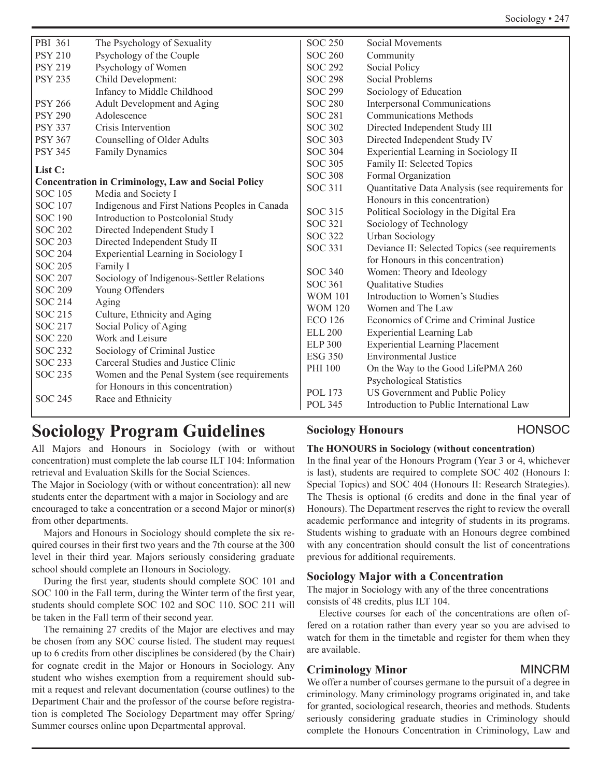| PBI 361        | The Psychology of Sexuality                                | <b>SOC 250</b> | <b>Social Movements</b>                          |
|----------------|------------------------------------------------------------|----------------|--------------------------------------------------|
| <b>PSY 210</b> | Psychology of the Couple                                   | <b>SOC 260</b> | Community                                        |
| <b>PSY 219</b> | Psychology of Women                                        | <b>SOC 292</b> | Social Policy                                    |
| <b>PSY 235</b> | Child Development:                                         | <b>SOC 298</b> | <b>Social Problems</b>                           |
|                | Infancy to Middle Childhood                                | <b>SOC 299</b> | Sociology of Education                           |
| <b>PSY 266</b> | Adult Development and Aging                                | <b>SOC 280</b> | <b>Interpersonal Communications</b>              |
| <b>PSY 290</b> | Adolescence                                                | <b>SOC 281</b> | <b>Communications Methods</b>                    |
| <b>PSY 337</b> | Crisis Intervention                                        | <b>SOC 302</b> | Directed Independent Study III                   |
| <b>PSY 367</b> | Counselling of Older Adults                                | <b>SOC 303</b> | Directed Independent Study IV                    |
| <b>PSY 345</b> | Family Dynamics                                            | <b>SOC 304</b> | Experiential Learning in Sociology II            |
| List C:        |                                                            | <b>SOC 305</b> | Family II: Selected Topics                       |
|                | <b>Concentration in Criminology, Law and Social Policy</b> | <b>SOC 308</b> | Formal Organization                              |
| <b>SOC</b> 105 | Media and Society I                                        | <b>SOC 311</b> | Quantitative Data Analysis (see requirements for |
| <b>SOC 107</b> | Indigenous and First Nations Peoples in Canada             |                | Honours in this concentration)                   |
| <b>SOC 190</b> | Introduction to Postcolonial Study                         | <b>SOC 315</b> | Political Sociology in the Digital Era           |
| <b>SOC 202</b> | Directed Independent Study I                               | <b>SOC 321</b> | Sociology of Technology                          |
| <b>SOC 203</b> | Directed Independent Study II                              | <b>SOC 322</b> | <b>Urban Sociology</b>                           |
| <b>SOC 204</b> | Experiential Learning in Sociology I                       | <b>SOC 331</b> | Deviance II: Selected Topics (see requirements   |
| <b>SOC 205</b> | Family I                                                   |                | for Honours in this concentration)               |
| <b>SOC 207</b> | Sociology of Indigenous-Settler Relations                  | <b>SOC 340</b> | Women: Theory and Ideology                       |
| <b>SOC 209</b> | Young Offenders                                            | <b>SOC 361</b> | Qualitative Studies                              |
| <b>SOC 214</b> | Aging                                                      | <b>WOM 101</b> | Introduction to Women's Studies                  |
| <b>SOC 215</b> | Culture, Ethnicity and Aging                               | <b>WOM 120</b> | Women and The Law                                |
| <b>SOC 217</b> | Social Policy of Aging                                     | <b>ECO 126</b> | Economics of Crime and Criminal Justice          |
| <b>SOC 220</b> | Work and Leisure                                           | <b>ELL 200</b> | Experiential Learning Lab                        |
| <b>SOC 232</b> | Sociology of Criminal Justice                              | <b>ELP 300</b> | <b>Experiential Learning Placement</b>           |
| <b>SOC 233</b> | Carceral Studies and Justice Clinic                        | <b>ESG 350</b> | <b>Environmental Justice</b>                     |
| <b>SOC 235</b> | Women and the Penal System (see requirements               | <b>PHI 100</b> | On the Way to the Good LifePMA 260               |
|                | for Honours in this concentration)                         |                | <b>Psychological Statistics</b>                  |
| <b>SOC 245</b> | Race and Ethnicity                                         | <b>POL 173</b> | US Government and Public Policy                  |
|                |                                                            | <b>POL 345</b> | Introduction to Public International Law         |

# **Sociology Program Guidelines**

All Majors and Honours in Sociology (with or without concentration) must complete the lab course ILT 104: Information retrieval and Evaluation Skills for the Social Sciences.

The Major in Sociology (with or without concentration): all new students enter the department with a major in Sociology and are encouraged to take a concentration or a second Major or minor(s) from other departments.

Majors and Honours in Sociology should complete the six required courses in their first two years and the 7th course at the 300 level in their third year. Majors seriously considering graduate school should complete an Honours in Sociology.

During the first year, students should complete SOC 101 and SOC 100 in the Fall term, during the Winter term of the first year, students should complete SOC 102 and SOC 110. SOC 211 will be taken in the Fall term of their second year.

The remaining 27 credits of the Major are electives and may be chosen from any SOC course listed. The student may request up to 6 credits from other disciplines be considered (by the Chair) for cognate credit in the Major or Honours in Sociology. Any student who wishes exemption from a requirement should submit a request and relevant documentation (course outlines) to the Department Chair and the professor of the course before registration is completed The Sociology Department may offer Spring/ Summer courses online upon Departmental approval.

# **Sociology Honours** HONSOC

# **The HONOURS in Sociology (without concentration)**

In the final year of the Honours Program (Year 3 or 4, whichever is last), students are required to complete SOC 402 (Honours I: Special Topics) and SOC 404 (Honours II: Research Strategies). The Thesis is optional (6 credits and done in the final year of Honours). The Department reserves the right to review the overall academic performance and integrity of students in its programs. Students wishing to graduate with an Honours degree combined with any concentration should consult the list of concentrations previous for additional requirements.

# **Sociology Major with a Concentration**

The major in Sociology with any of the three concentrations consists of 48 credits, plus ILT 104.

Elective courses for each of the concentrations are often offered on a rotation rather than every year so you are advised to watch for them in the timetable and register for them when they are available.

# **Criminology Minor** MINCRM

We offer a number of courses germane to the pursuit of a degree in criminology. Many criminology programs originated in, and take for granted, sociological research, theories and methods. Students seriously considering graduate studies in Criminology should complete the Honours Concentration in Criminology, Law and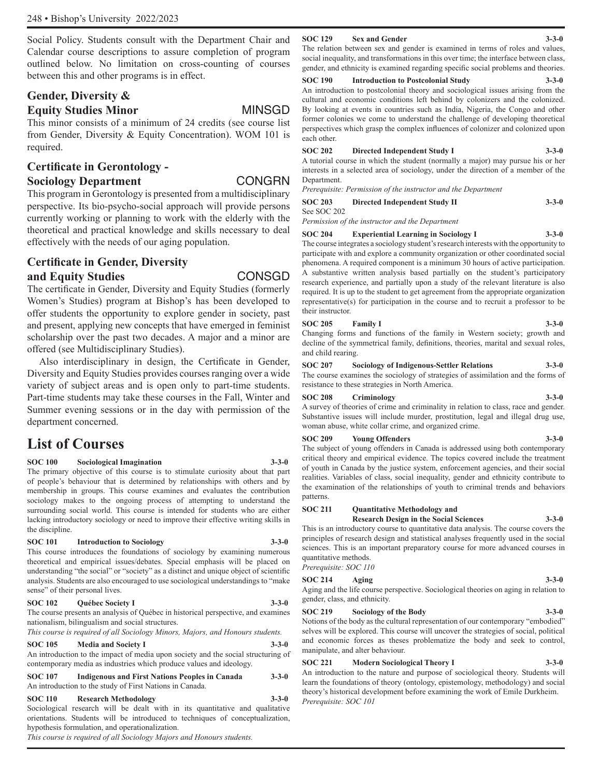Social Policy. Students consult with the Department Chair and Calendar course descriptions to assure completion of program outlined below. No limitation on cross-counting of courses between this and other programs is in effect.

# **Gender, Diversity &**

### **Equity Studies Minor** MINSGD

This minor consists of a minimum of 24 credits (see course list from Gender, Diversity & Equity Concentration). WOM 101 is required.

# **Certificate in Gerontology - Sociology Department** CONGRN

This program in Gerontology is presented from a multidisciplinary perspective. Its bio-psycho-social approach will provide persons currently working or planning to work with the elderly with the theoretical and practical knowledge and skills necessary to deal effectively with the needs of our aging population.

# **Certificate in Gender, Diversity**

## **and Equity Studies CONSGD**

The certificate in Gender, Diversity and Equity Studies (formerly Women's Studies) program at Bishop's has been developed to offer students the opportunity to explore gender in society, past and present, applying new concepts that have emerged in feminist scholarship over the past two decades. A major and a minor are offered (see Multidisciplinary Studies).

Also interdisciplinary in design, the Certificate in Gender, Diversity and Equity Studies provides courses ranging over a wide variety of subject areas and is open only to part-time students. Part-time students may take these courses in the Fall, Winter and Summer evening sessions or in the day with permission of the department concerned.

# **List of Courses**

**SOC 100 Sociological Imagination 3-3-0**

The primary objective of this course is to stimulate curiosity about that part of people's behaviour that is determined by relationships with others and by membership in groups. This course examines and evaluates the contribution sociology makes to the ongoing process of attempting to understand the surrounding social world. This course is intended for students who are either lacking introductory sociology or need to improve their effective writing skills in the discipline.

## **SOC 101 Introduction to Sociology 3-3-0**

This course introduces the foundations of sociology by examining numerous theoretical and empirical issues/debates. Special emphasis will be placed on understanding "the social" or "society" as a distinct and unique object of scientific analysis. Students are also encouraged to use sociological understandings to "make sense" of their personal lives.

#### **SOC 102 Québec Society I 3-3-0**

The course presents an analysis of Québec in historical perspective, and examines nationalism, bilingualism and social structures.

*This course is required of all Sociology Minors, Majors, and Honours students.* 

**SOC 105 Media and Society I 3-3-0**

An introduction to the impact of media upon society and the social structuring of contemporary media as industries which produce values and ideology.

**SOC 107 Indigenous and First Nations Peoples in Canada 3-3-0** An introduction to the study of First Nations in Canada.

#### **SOC 110 Research Methodology 3-3-0**

Sociological research will be dealt with in its quantitative and qualitative orientations. Students will be introduced to techniques of conceptualization, hypothesis formulation, and operationalization.

*This course is required of all Sociology Majors and Honours students.*

#### **SOC 129 Sex and Gender 3-3-0**

The relation between sex and gender is examined in terms of roles and values, social inequality, and transformations in this over time; the interface between class, gender, and ethnicity is examined regarding specific social problems and theories.

#### **SOC 190** Introduction to Postcolonial Study

An introduction to postcolonial theory and sociological issues arising from the cultural and economic conditions left behind by colonizers and the colonized. By looking at events in countries such as India, Nigeria, the Congo and other former colonies we come to understand the challenge of developing theoretical perspectives which grasp the complex influences of colonizer and colonized upon each other.

#### **SOC 202 Directed Independent Study I 3-3-0**

A tutorial course in which the student (normally a major) may pursue his or her interests in a selected area of sociology, under the direction of a member of the Department.

*Prerequisite: Permission of the instructor and the Department*

### **SOC 203 Directed Independent Study II 3-3-0**

See SOC 202

*Permission of the instructor and the Department*

### **SOC 204 Experiential Learning in Sociology I 3-3-0**

The course integrates a sociology student's research interests with the opportunity to participate with and explore a community organization or other coordinated social phenomena. A required component is a minimum 30 hours of active participation. A substantive written analysis based partially on the student's participatory research experience, and partially upon a study of the relevant literature is also required. It is up to the student to get agreement from the appropriate organization representative(s) for participation in the course and to recruit a professor to be their instructor.

#### **SOC 205 Family I 3-3-0**

Changing forms and functions of the family in Western society; growth and decline of the symmetrical family, definitions, theories, marital and sexual roles, and child rearing.

**SOC 207 Sociology of Indigenous-Settler Relations 3-3-0** The course examines the sociology of strategies of assimilation and the forms of resistance to these strategies in North America.

### **SOC 208 Criminology 3-3-0**

A survey of theories of crime and criminality in relation to class, race and gender. Substantive issues will include murder, prostitution, legal and illegal drug use, woman abuse, white collar crime, and organized crime.

### **SOC 209 Young Offenders 3-3-0**

The subject of young offenders in Canada is addressed using both contemporary critical theory and empirical evidence. The topics covered include the treatment of youth in Canada by the justice system, enforcement agencies, and their social realities. Variables of class, social inequality, gender and ethnicity contribute to the examination of the relationships of youth to criminal trends and behaviors patterns.

#### **SOC 211 Quantitative Methodology and**

**Research Design in the Social Sciences 3-3-0** This is an introductory course to quantitative data analysis. The course covers the principles of research design and statistical analyses frequently used in the social sciences. This is an important preparatory course for more advanced courses in quantitative methods.

*Prerequisite: SOC 110*

# **SOC 214 Aging 3-3-0**

Aging and the life course perspective. Sociological theories on aging in relation to gender, class, and ethnicity.

**SOC 219 Sociology of the Body 3-3-0** Notions of the body as the cultural representation of our contemporary "embodied" selves will be explored. This course will uncover the strategies of social, political and economic forces as theses problematize the body and seek to control, manipulate, and alter behaviour.

#### **SOC 221 Modern Sociological Theory I 3-3-0**

An introduction to the nature and purpose of sociological theory. Students will learn the foundations of theory (ontology, epistemology, methodology) and social theory's historical development before examining the work of Emile Durkheim. *Prerequisite: SOC 101*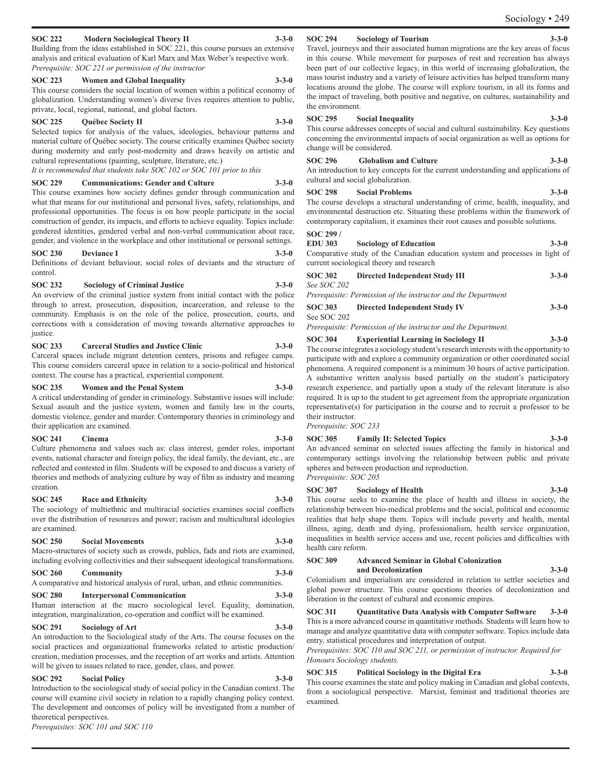### **SOC 222 Modern Sociological Theory II 3-3-0**

Building from the ideas established in SOC 221, this course pursues an extensive analysis and critical evaluation of Karl Marx and Max Weber's respective work. *Prerequisite: SOC 221 or permission of the instructor*

#### **SOC 223 Women and Global Inequality 3-3-0**

This course considers the social location of women within a political economy of globalization. Understanding women's diverse lives requires attention to public, private, local, regional, national, and global factors.

#### **SOC 225 Québec Society II 3-3-0**

Selected topics for analysis of the values, ideologies, behaviour patterns and material culture of Québec society. The course critically examines Québec society during modernity and early post-modernity and draws heavily on artistic and cultural representations (painting, sculpture, literature, etc.)

*It is recommended that students take SOC 102 or SOC 101 prior to this*

#### **SOC 229 Communications: Gender and Culture 3-3-0**

This course examines how society defines gender through communication and what that means for our institutional and personal lives, safety, relationships, and professional opportunities. The focus is on how people participate in the social construction of gender, its impacts, and efforts to achieve equality. Topics include: gendered identities, gendered verbal and non-verbal communication about race, gender, and violence in the workplace and other institutional or personal settings.

#### **SOC 230 Deviance I 3-3-0**

Definitions of deviant behaviour, social roles of deviants and the structure of control.

#### **SOC 232 Sociology of Criminal Justice 3-3-0**

An overview of the criminal justice system from initial contact with the police through to arrest, prosecution, disposition, incarceration, and release to the community. Emphasis is on the role of the police, prosecution, courts, and corrections with a consideration of moving towards alternative approaches to justice.

#### **SOC 233 Carceral Studies and Justice Clinic 3-3-0**

Carceral spaces include migrant detention centers, prisons and refugee camps. This course considers carceral space in relation to a socio-political and historical context. The course has a practical, experiential component.

#### **SOC 235 Women and the Penal System 3-3-0**

A critical understanding of gender in criminology. Substantive issues will include: Sexual assault and the justice system, women and family law in the courts, domestic violence, gender and murder. Contemporary theories in criminology and their application are examined.

#### **SOC 241 Cinema 3-3-0**

Culture phenomena and values such as: class interest, gender roles, important events, national character and foreign policy, the ideal family, the deviant, etc., are reflected and contested in film. Students will be exposed to and discuss a variety of theories and methods of analyzing culture by way of film as industry and meaning creation.

#### **SOC 245 Race and Ethnicity 3-3-0**

The sociology of multiethnic and multiracial societies examines social conflicts over the distribution of resources and power; racism and multicultural ideologies are examined.

### **SOC 250 Social Movements 3-3-0**

Macro-structures of society such as crowds, publics, fads and riots are examined, including evolving collectivities and their subsequent ideological transformations.

#### **SOC 260 Community 3-3-0**

A comparative and historical analysis of rural, urban, and ethnic communities.

#### **SOC 280 Interpersonal Communication 3-3-0** Human interaction at the macro sociological level. Equality, domination, integration, marginalization, co-operation and conflict will be examined.

#### **SOC 291 Sociology of Art 3-3-0**

An introduction to the Sociological study of the Arts. The course focuses on the social practices and organizational frameworks related to artistic production/ creation, mediation processes, and the reception of art works and artists. Attention will be given to issues related to race, gender, class, and power.

#### **SOC 292 Social Policy 3-3-0**

Introduction to the sociological study of social policy in the Canadian context. The course will examine civil society in relation to a rapidly changing policy context. The development and outcomes of policy will be investigated from a number of theoretical perspectives.

*Prerequisites: SOC 101 and SOC 110* 

#### **SOC 294** Sociology of Tourism

Sociology • 249

Travel, journeys and their associated human migrations are the key areas of focus in this course. While movement for purposes of rest and recreation has always been part of our collective legacy, in this world of increasing globalization, the mass tourist industry and a variety of leisure activities has helped transform many locations around the globe. The course will explore tourism, in all its forms and the impact of traveling, both positive and negative, on cultures, sustainability and the environment.

#### **SOC 295 Social Inequality 3-3-0**

This course addresses concepts of social and cultural sustainability. Key questions concerning the environmental impacts of social organization as well as options for change will be considered.

#### **SOC 296 Globalism and Culture 3-3-0**

An introduction to key concepts for the current understanding and applications of cultural and social globalization.

#### **SOC 298 Social Problems 3-3-0**

The course develops a structural understanding of crime, health, inequality, and environmental destruction etc. Situating these problems within the framework of contemporary capitalism, it examines their root causes and possible solutions.

#### **SOC 299 /**

**EDU 303 Sociology of Education 3-3-0** Comparative study of the Canadian education system and processes in light of current sociological theory and research

|                    | carrent sociological theory and research                      |             |
|--------------------|---------------------------------------------------------------|-------------|
| SOC 302            | Directed Independent Study III                                | $3 - 3 - 0$ |
| <i>See SOC 202</i> |                                                               |             |
|                    | Prerequisite: Permission of the instructor and the Department |             |
|                    |                                                               |             |

| <b>SOC 303</b> | Directed Independent Study IV | $3 - 3 - 0$ |
|----------------|-------------------------------|-------------|
| See SOC 202    |                               |             |
|                |                               |             |

*Prerequisite: Permission of the instructor and the Department.*

### **SOC 304 Experiential Learning in Sociology II 3-3-0**

The course integrates a sociology student's research interests with the opportunity to participate with and explore a community organization or other coordinated social phenomena. A required component is a minimum 30 hours of active participation. A substantive written analysis based partially on the student's participatory research experience, and partially upon a study of the relevant literature is also required. It is up to the student to get agreement from the appropriate organization representative(s) for participation in the course and to recruit a professor to be their instructor.

*Prerequisite: SOC 233*

#### **SOC 305 Family II: Selected Topics 3-3-0**

An advanced seminar on selected issues affecting the family in historical and contemporary settings involving the relationship between public and private spheres and between production and reproduction. *Prerequisite: SOC 205*

#### **SOC 307 Sociology of Health 3-3-0**

This course seeks to examine the place of health and illness in society, the relationship between bio-medical problems and the social, political and economic realities that help shape them. Topics will include poverty and health, mental illness, aging, death and dying, professionalism, health service organization, inequalities in health service access and use, recent policies and difficulties with health care reform.

### **SOC 309 Advanced Seminar in Global Colonization and Decolonization 3-3-0**

Colonialism and imperialism are considered in relation to settler societies and global power structure. This course questions theories of decolonization and liberation in the context of cultural and economic empires.

**SOC 311 Quantitative Data Analysis with Computer Software 3-3-0** This is a more advanced course in quantitative methods. Students will learn how to manage and analyze quantitative data with computer software. Topics include data entry, statistical procedures and interpretation of output.

*Prerequisites: SOC 110 and SOC 211, or permission of instructor. Required for Honours Sociology students.*

### **SOC 315 Political Sociology in the Digital Era 3-3-0**

This course examines the state and policy making in Canadian and global contexts, from a sociological perspective. Marxist, feminist and traditional theories are examined.